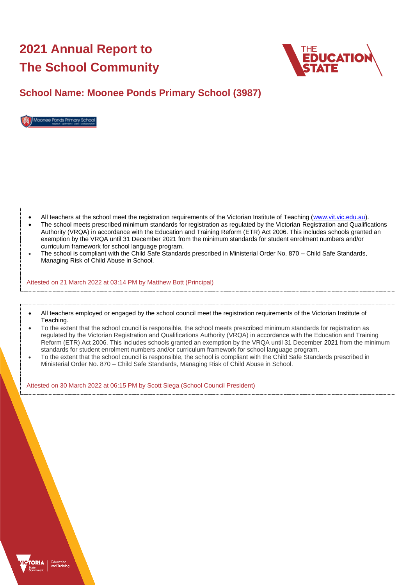# **2021 Annual Report to The School Community**



## **School Name: Moonee Ponds Primary School (3987)**



- All teachers at the school meet the registration requirements of the Victorian Institute of Teaching [\(www.vit.vic.edu.au\)](https://www.vit.vic.edu.au/).
- The school meets prescribed minimum standards for registration as regulated by the Victorian Registration and Qualifications Authority (VRQA) in accordance with the Education and Training Reform (ETR) Act 2006. This includes schools granted an exemption by the VRQA until 31 December 2021 from the minimum standards for student enrolment numbers and/or curriculum framework for school language program.
- The school is compliant with the Child Safe Standards prescribed in Ministerial Order No. 870 Child Safe Standards, Managing Risk of Child Abuse in School.

Attested on 21 March 2022 at 03:14 PM by Matthew Bott (Principal)

- All teachers employed or engaged by the school council meet the registration requirements of the Victorian Institute of Teaching.
- To the extent that the school council is responsible, the school meets prescribed minimum standards for registration as regulated by the Victorian Registration and Qualifications Authority (VRQA) in accordance with the Education and Training Reform (ETR) Act 2006. This includes schools granted an exemption by the VRQA until 31 December 2021 from the minimum standards for student enrolment numbers and/or curriculum framework for school language program.
- To the extent that the school council is responsible, the school is compliant with the Child Safe Standards prescribed in Ministerial Order No. 870 – Child Safe Standards, Managing Risk of Child Abuse in School.

Attested on 30 March 2022 at 06:15 PM by Scott Siega (School Council President)

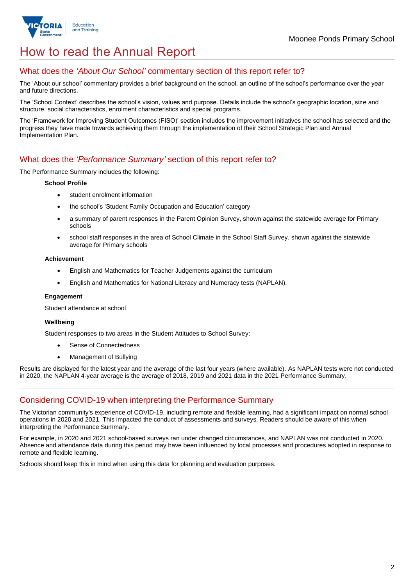

## How to read the Annual Report

## What does the *'About Our School'* commentary section of this report refer to?

The 'About our school' commentary provides a brief background on the school, an outline of the school's performance over the year and future directions.

The 'School Context' describes the school's vision, values and purpose. Details include the school's geographic location, size and structure, social characteristics, enrolment characteristics and special programs.

The 'Framework for Improving Student Outcomes (FISO)' section includes the improvement initiatives the school has selected and the progress they have made towards achieving them through the implementation of their School Strategic Plan and Annual Implementation Plan.

### What does the *'Performance Summary'* section of this report refer to?

The Performance Summary includes the following:

#### **School Profile**

- student enrolment information
- the school's 'Student Family Occupation and Education' category
- a summary of parent responses in the Parent Opinion Survey, shown against the statewide average for Primary schools
- school staff responses in the area of School Climate in the School Staff Survey, shown against the statewide average for Primary schools

#### **Achievement**

- English and Mathematics for Teacher Judgements against the curriculum
- English and Mathematics for National Literacy and Numeracy tests (NAPLAN).

#### **Engagement**

Student attendance at school

#### **Wellbeing**

Student responses to two areas in the Student Attitudes to School Survey:

- Sense of Connectedness
- Management of Bullying

Results are displayed for the latest year and the average of the last four years (where available). As NAPLAN tests were not conducted in 2020, the NAPLAN 4-year average is the average of 2018, 2019 and 2021 data in the 2021 Performance Summary.

## Considering COVID-19 when interpreting the Performance Summary

The Victorian community's experience of COVID-19, including remote and flexible learning, had a significant impact on normal school operations in 2020 and 2021. This impacted the conduct of assessments and surveys. Readers should be aware of this when interpreting the Performance Summary.

For example, in 2020 and 2021 school-based surveys ran under changed circumstances, and NAPLAN was not conducted in 2020. Absence and attendance data during this period may have been influenced by local processes and procedures adopted in response to remote and flexible learning.

Schools should keep this in mind when using this data for planning and evaluation purposes.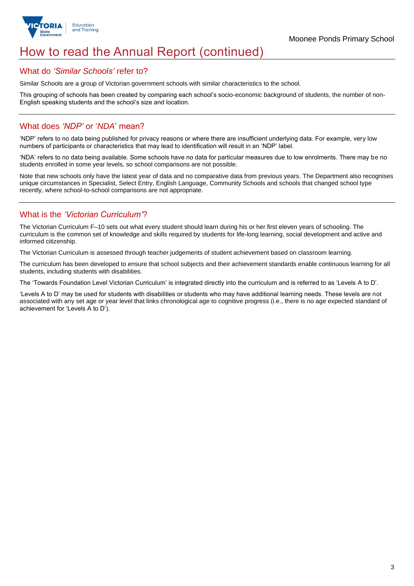

## How to read the Annual Report (continued)

#### What do *'Similar Schools'* refer to?

Similar Schools are a group of Victorian government schools with similar characteristics to the school.

This grouping of schools has been created by comparing each school's socio-economic background of students, the number of non-English speaking students and the school's size and location.

## What does *'NDP'* or '*NDA*' mean?

'NDP' refers to no data being published for privacy reasons or where there are insufficient underlying data. For example, very low numbers of participants or characteristics that may lead to identification will result in an 'NDP' label.

'NDA' refers to no data being available. Some schools have no data for particular measures due to low enrolments. There may be no students enrolled in some year levels, so school comparisons are not possible.

Note that new schools only have the latest year of data and no comparative data from previous years. The Department also recognises unique circumstances in Specialist, Select Entry, English Language, Community Schools and schools that changed school type recently, where school-to-school comparisons are not appropriate.

## What is the *'Victorian Curriculum'*?

The Victorian Curriculum F–10 sets out what every student should learn during his or her first eleven years of schooling. The curriculum is the common set of knowledge and skills required by students for life-long learning, social development and active and informed citizenship.

The Victorian Curriculum is assessed through teacher judgements of student achievement based on classroom learning.

The curriculum has been developed to ensure that school subjects and their achievement standards enable continuous learning for all students, including students with disabilities.

The 'Towards Foundation Level Victorian Curriculum' is integrated directly into the curriculum and is referred to as 'Levels A to D'.

'Levels A to D' may be used for students with disabilities or students who may have additional learning needs. These levels are not associated with any set age or year level that links chronological age to cognitive progress (i.e., there is no age expected standard of achievement for 'Levels A to D').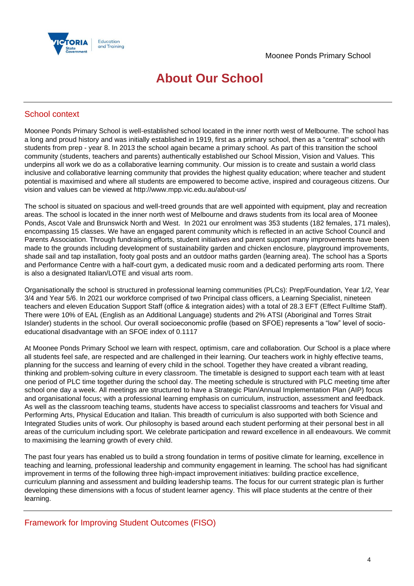



## **About Our School**

## School context

Moonee Ponds Primary School is well-established school located in the inner north west of Melbourne. The school has a long and proud history and was initially established in 1919, first as a primary school, then as a "central" school with students from prep - year 8. In 2013 the school again became a primary school. As part of this transition the school community (students, teachers and parents) authentically established our School Mission, Vision and Values. This underpins all work we do as a collaborative learning community. Our mission is to create and sustain a world class inclusive and collaborative learning community that provides the highest quality education; where teacher and student potential is maximised and where all students are empowered to become active, inspired and courageous citizens. Our vision and values can be viewed at http://www.mpp.vic.edu.au/about-us/

The school is situated on spacious and well-treed grounds that are well appointed with equipment, play and recreation areas. The school is located in the inner north west of Melbourne and draws students from its local area of Moonee Ponds, Ascot Vale and Brunswick North and West. In 2021 our enrolment was 353 students (182 females, 171 males), encompassing 15 classes. We have an engaged parent community which is reflected in an active School Council and Parents Association. Through fundraising efforts, student initiatives and parent support many improvements have been made to the grounds including development of sustainability garden and chicken enclosure, playground improvements, shade sail and tap installation, footy goal posts and an outdoor maths garden (learning area). The school has a Sports and Performance Centre with a half-court gym, a dedicated music room and a dedicated performing arts room. There is also a designated Italian/LOTE and visual arts room.

Organisationally the school is structured in professional learning communities (PLCs): Prep/Foundation, Year 1/2, Year 3/4 and Year 5/6. In 2021 our workforce comprised of two Principal class officers, a Learning Specialist, nineteen teachers and eleven Education Support Staff (office & integration aides) with a total of 28.3 EFT (Effect Fulltime Staff). There were 10% of EAL (English as an Additional Language) students and 2% ATSI (Aboriginal and Torres Strait Islander) students in the school. Our overall socioeconomic profile (based on SFOE) represents a "low" level of socioeducational disadvantage with an SFOE index of 0.1117

At Moonee Ponds Primary School we learn with respect, optimism, care and collaboration. Our School is a place where all students feel safe, are respected and are challenged in their learning. Our teachers work in highly effective teams, planning for the success and learning of every child in the school. Together they have created a vibrant reading, thinking and problem-solving culture in every classroom. The timetable is designed to support each team with at least one period of PLC time together during the school day. The meeting schedule is structured with PLC meeting time after school one day a week. All meetings are structured to have a Strategic Plan/Annual Implementation Plan (AIP) focus and organisational focus; with a professional learning emphasis on curriculum, instruction, assessment and feedback. As well as the classroom teaching teams, students have access to specialist classrooms and teachers for Visual and Performing Arts, Physical Education and Italian. This breadth of curriculum is also supported with both Science and Integrated Studies units of work. Our philosophy is based around each student performing at their personal best in all areas of the curriculum including sport. We celebrate participation and reward excellence in all endeavours. We commit to maximising the learning growth of every child.

The past four years has enabled us to build a strong foundation in terms of positive climate for learning, excellence in teaching and learning, professional leadership and community engagement in learning. The school has had significant improvement in terms of the following three high-impact improvement initiatives: building practice excellence, curriculum planning and assessment and building leadership teams. The focus for our current strategic plan is further developing these dimensions with a focus of student learner agency. This will place students at the centre of their learning.

Framework for Improving Student Outcomes (FISO)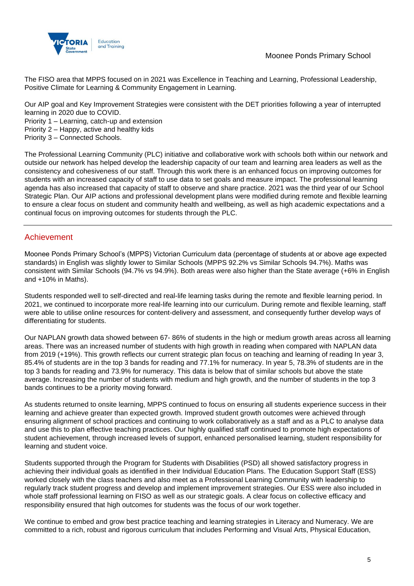

Moonee Ponds Primary School

The FISO area that MPPS focused on in 2021 was Excellence in Teaching and Learning, Professional Leadership, Positive Climate for Learning & Community Engagement in Learning.

Our AIP goal and Key Improvement Strategies were consistent with the DET priorities following a year of interrupted learning in 2020 due to COVID.

Priority 1 – Learning, catch-up and extension

Priority 2 – Happy, active and healthy kids

Priority 3 – Connected Schools.

The Professional Learning Community (PLC) initiative and collaborative work with schools both within our network and outside our network has helped develop the leadership capacity of our team and learning area leaders as well as the consistency and cohesiveness of our staff. Through this work there is an enhanced focus on improving outcomes for students with an increased capacity of staff to use data to set goals and measure impact. The professional learning agenda has also increased that capacity of staff to observe and share practice. 2021 was the third year of our School Strategic Plan. Our AIP actions and professional development plans were modified during remote and flexible learning to ensure a clear focus on student and community health and wellbeing, as well as high academic expectations and a continual focus on improving outcomes for students through the PLC.

### Achievement

Moonee Ponds Primary School's (MPPS) Victorian Curriculum data (percentage of students at or above age expected standards) in English was slightly lower to Similar Schools (MPPS 92.2% vs Similar Schools 94.7%). Maths was consistent with Similar Schools (94.7% vs 94.9%). Both areas were also higher than the State average (+6% in English and +10% in Maths).

Students responded well to self-directed and real-life learning tasks during the remote and flexible learning period. In 2021, we continued to incorporate more real-life learning into our curriculum. During remote and flexible learning, staff were able to utilise online resources for content-delivery and assessment, and consequently further develop ways of differentiating for students.

Our NAPLAN growth data showed between 67- 86% of students in the high or medium growth areas across all learning areas. There was an increased number of students with high growth in reading when compared with NAPLAN data from 2019 (+19%). This growth reflects our current strategic plan focus on teaching and learning of reading In year 3, 85.4% of students are in the top 3 bands for reading and 77.1% for numeracy. In year 5, 78.3% of students are in the top 3 bands for reading and 73.9% for numeracy. This data is below that of similar schools but above the state average. Increasing the number of students with medium and high growth, and the number of students in the top 3 bands continues to be a priority moving forward.

As students returned to onsite learning, MPPS continued to focus on ensuring all students experience success in their learning and achieve greater than expected growth. Improved student growth outcomes were achieved through ensuring alignment of school practices and continuing to work collaboratively as a staff and as a PLC to analyse data and use this to plan effective teaching practices. Our highly qualified staff continued to promote high expectations of student achievement, through increased levels of support, enhanced personalised learning, student responsibility for learning and student voice.

Students supported through the Program for Students with Disabilities (PSD) all showed satisfactory progress in achieving their individual goals as identified in their Individual Education Plans. The Education Support Staff (ESS) worked closely with the class teachers and also meet as a Professional Learning Community with leadership to regularly track student progress and develop and implement improvement strategies. Our ESS were also included in whole staff professional learning on FISO as well as our strategic goals. A clear focus on collective efficacy and responsibility ensured that high outcomes for students was the focus of our work together.

We continue to embed and grow best practice teaching and learning strategies in Literacy and Numeracy. We are committed to a rich, robust and rigorous curriculum that includes Performing and Visual Arts, Physical Education,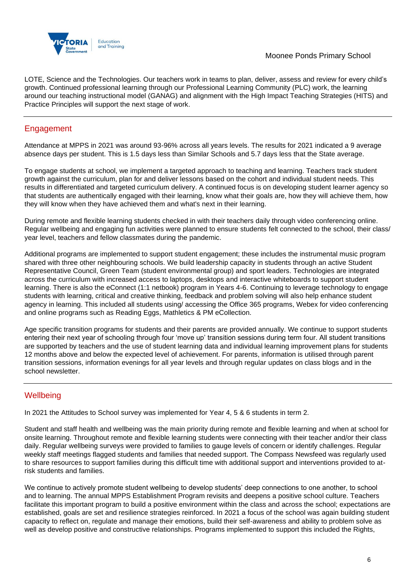

LOTE, Science and the Technologies. Our teachers work in teams to plan, deliver, assess and review for every child's growth. Continued professional learning through our Professional Learning Community (PLC) work, the learning around our teaching instructional model (GANAG) and alignment with the High Impact Teaching Strategies (HITS) and Practice Principles will support the next stage of work.

## **Engagement**

Attendance at MPPS in 2021 was around 93-96% across all years levels. The results for 2021 indicated a 9 average absence days per student. This is 1.5 days less than Similar Schools and 5.7 days less that the State average.

To engage students at school, we implement a targeted approach to teaching and learning. Teachers track student growth against the curriculum, plan for and deliver lessons based on the cohort and individual student needs. This results in differentiated and targeted curriculum delivery. A continued focus is on developing student learner agency so that students are authentically engaged with their learning, know what their goals are, how they will achieve them, how they will know when they have achieved them and what's next in their learning.

During remote and flexible learning students checked in with their teachers daily through video conferencing online. Regular wellbeing and engaging fun activities were planned to ensure students felt connected to the school, their class/ year level, teachers and fellow classmates during the pandemic.

Additional programs are implemented to support student engagement; these includes the instrumental music program shared with three other neighbouring schools. We build leadership capacity in students through an active Student Representative Council, Green Team (student environmental group) and sport leaders. Technologies are integrated across the curriculum with increased access to laptops, desktops and interactive whiteboards to support student learning. There is also the eConnect (1:1 netbook) program in Years 4-6. Continuing to leverage technology to engage students with learning, critical and creative thinking, feedback and problem solving will also help enhance student agency in learning. This included all students using/ accessing the Office 365 programs, Webex for video conferencing and online programs such as Reading Eggs, Mathletics & PM eCollection.

Age specific transition programs for students and their parents are provided annually. We continue to support students entering their next year of schooling through four 'move up' transition sessions during term four. All student transitions are supported by teachers and the use of student learning data and individual learning improvement plans for students 12 months above and below the expected level of achievement. For parents, information is utilised through parent transition sessions, information evenings for all year levels and through regular updates on class blogs and in the school newsletter.

## **Wellbeing**

In 2021 the Attitudes to School survey was implemented for Year 4, 5 & 6 students in term 2.

Student and staff health and wellbeing was the main priority during remote and flexible learning and when at school for onsite learning. Throughout remote and flexible learning students were connecting with their teacher and/or their class daily. Regular wellbeing surveys were provided to families to gauge levels of concern or identify challenges. Regular weekly staff meetings flagged students and families that needed support. The Compass Newsfeed was regularly used to share resources to support families during this difficult time with additional support and interventions provided to atrisk students and families.

We continue to actively promote student wellbeing to develop students' deep connections to one another, to school and to learning. The annual MPPS Establishment Program revisits and deepens a positive school culture. Teachers facilitate this important program to build a positive environment within the class and across the school; expectations are established, goals are set and resilience strategies reinforced. In 2021 a focus of the school was again building student capacity to reflect on, regulate and manage their emotions, build their self-awareness and ability to problem solve as well as develop positive and constructive relationships. Programs implemented to support this included the Rights,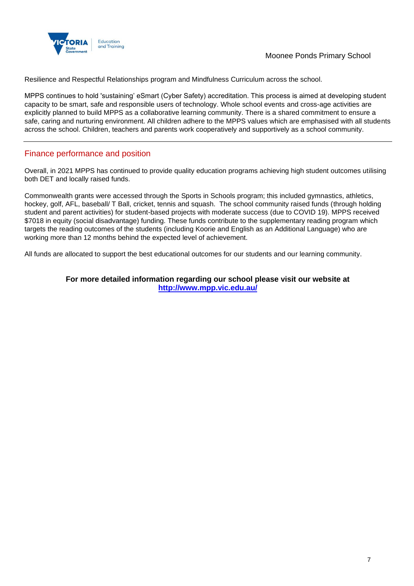

Resilience and Respectful Relationships program and Mindfulness Curriculum across the school.

MPPS continues to hold 'sustaining' eSmart (Cyber Safety) accreditation. This process is aimed at developing student capacity to be smart, safe and responsible users of technology. Whole school events and cross-age activities are explicitly planned to build MPPS as a collaborative learning community. There is a shared commitment to ensure a safe, caring and nurturing environment. All children adhere to the MPPS values which are emphasised with all students across the school. Children, teachers and parents work cooperatively and supportively as a school community.

### Finance performance and position

Overall, in 2021 MPPS has continued to provide quality education programs achieving high student outcomes utilising both DET and locally raised funds.

Commonwealth grants were accessed through the Sports in Schools program; this included gymnastics, athletics, hockey, golf, AFL, baseball/ T Ball, cricket, tennis and squash. The school community raised funds (through holding student and parent activities) for student-based projects with moderate success (due to COVID 19). MPPS received \$7018 in equity (social disadvantage) funding. These funds contribute to the supplementary reading program which targets the reading outcomes of the students (including Koorie and English as an Additional Language) who are working more than 12 months behind the expected level of achievement.

All funds are allocated to support the best educational outcomes for our students and our learning community.

#### **For more detailed information regarding our school please visit our website at <http://www.mpp.vic.edu.au/>**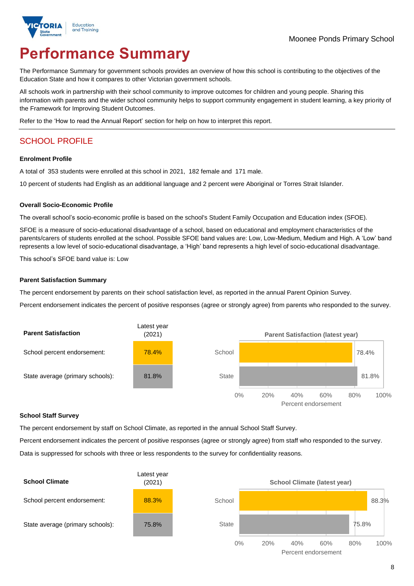![](_page_7_Picture_0.jpeg)

# **Performance Summary**

The Performance Summary for government schools provides an overview of how this school is contributing to the objectives of the Education State and how it compares to other Victorian government schools.

All schools work in partnership with their school community to improve outcomes for children and young people. Sharing this information with parents and the wider school community helps to support community engagement in student learning, a key priority of the Framework for Improving Student Outcomes.

Refer to the 'How to read the Annual Report' section for help on how to interpret this report.

## SCHOOL PROFILE

#### **Enrolment Profile**

A total of 353 students were enrolled at this school in 2021, 182 female and 171 male.

10 percent of students had English as an additional language and 2 percent were Aboriginal or Torres Strait Islander.

#### **Overall Socio-Economic Profile**

The overall school's socio-economic profile is based on the school's Student Family Occupation and Education index (SFOE).

SFOE is a measure of socio-educational disadvantage of a school, based on educational and employment characteristics of the parents/carers of students enrolled at the school. Possible SFOE band values are: Low, Low-Medium, Medium and High. A 'Low' band represents a low level of socio-educational disadvantage, a 'High' band represents a high level of socio-educational disadvantage.

This school's SFOE band value is: Low

#### **Parent Satisfaction Summary**

The percent endorsement by parents on their school satisfaction level, as reported in the annual Parent Opinion Survey.

Percent endorsement indicates the percent of positive responses (agree or strongly agree) from parents who responded to the survey.

![](_page_7_Figure_17.jpeg)

#### **School Staff Survey**

The percent endorsement by staff on School Climate, as reported in the annual School Staff Survey.

Percent endorsement indicates the percent of positive responses (agree or strongly agree) from staff who responded to the survey. Data is suppressed for schools with three or less respondents to the survey for confidentiality reasons.

![](_page_7_Figure_21.jpeg)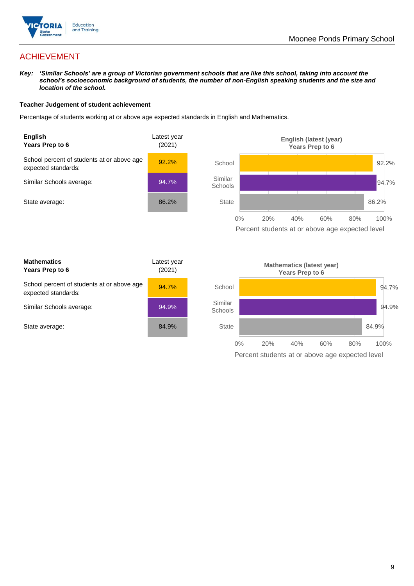![](_page_8_Picture_0.jpeg)

## ACHIEVEMENT

*Key: 'Similar Schools' are a group of Victorian government schools that are like this school, taking into account the school's socioeconomic background of students, the number of non-English speaking students and the size and location of the school.*

#### **Teacher Judgement of student achievement**

Percentage of students working at or above age expected standards in English and Mathematics.

![](_page_8_Figure_6.jpeg)

Percent students at or above age expected level

| <b>Mathematics</b><br>Years Prep to 6                             | Latest year<br>(2021) |
|-------------------------------------------------------------------|-----------------------|
| School percent of students at or above age<br>expected standards: | 94.7%                 |
| Similar Schools average:                                          | $94.9\%$              |
| State average:                                                    | 84.9%                 |

![](_page_8_Figure_9.jpeg)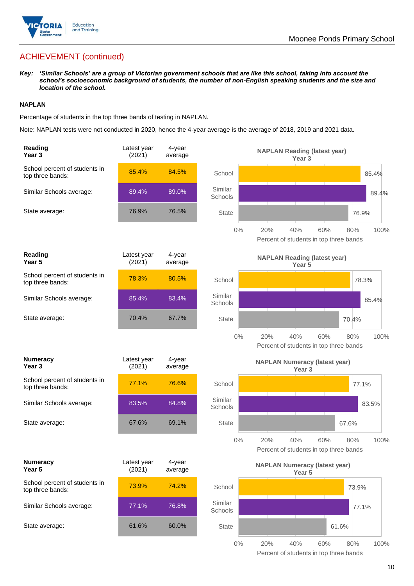![](_page_9_Picture_0.jpeg)

## ACHIEVEMENT (continued)

*Key: 'Similar Schools' are a group of Victorian government schools that are like this school, taking into account the school's socioeconomic background of students, the number of non-English speaking students and the size and location of the school.*

#### **NAPLAN**

Percentage of students in the top three bands of testing in NAPLAN.

Note: NAPLAN tests were not conducted in 2020, hence the 4-year average is the average of 2018, 2019 and 2021 data.

| <b>Reading</b><br>Year <sub>3</sub>               | Latest year<br>(2021) | 4-year<br>average |                    | <b>NAPLAN Reading (latest year)</b><br>Year <sub>3</sub>                   |
|---------------------------------------------------|-----------------------|-------------------|--------------------|----------------------------------------------------------------------------|
| School percent of students in<br>top three bands: | 85.4%                 | 84.5%             | School             | 85.4%                                                                      |
| Similar Schools average:                          | 89.4%                 | 89.0%             | Similar<br>Schools | 89.4%                                                                      |
| State average:                                    | 76.9%                 | 76.5%             | <b>State</b>       | 76.9%                                                                      |
|                                                   |                       |                   | $0\%$              | 40%<br>60%<br>100%<br>20%<br>80%<br>Percent of students in top three bands |
| Reading<br>Year 5                                 | Latest year<br>(2021) | 4-year<br>average |                    | <b>NAPLAN Reading (latest year)</b><br>Year <sub>5</sub>                   |
| School percent of students in<br>top three bands: | 78.3%                 | 80.5%             | School             | 78.3%                                                                      |
| Similar Schools average:                          | 85.4%                 | 83.4%             | Similar<br>Schools | 85.4%                                                                      |
| State average:                                    | 70.4%                 | 67.7%             | <b>State</b>       | 70.4%                                                                      |
|                                                   |                       |                   | $0\%$              | 20%<br>40%<br>60%<br>80%<br>100%<br>Percent of students in top three bands |
| <b>Numeracy</b><br>Year <sub>3</sub>              | Latest year<br>(2021) | 4-year<br>average |                    | <b>NAPLAN Numeracy (latest year)</b><br>Year <sub>3</sub>                  |
| School percent of students in<br>top three bands: | 77.1%                 | 76.6%             | School             | 77.1%                                                                      |
| Similar Schools average:                          | 83.5%                 | 84.8%             | Similar<br>Schools | 83.5%                                                                      |
| State average:                                    | 67.6%                 | 69.1%             | <b>State</b>       | 67.6%                                                                      |
|                                                   |                       |                   | 0%                 | 20%<br>40%<br>60%<br>80%<br>100%<br>Percent of students in top three bands |
| <b>Numeracy</b><br>Year 5                         | Latest year<br>(2021) | 4-year<br>average |                    | <b>NAPLAN Numeracy (latest year)</b><br>Year 5                             |
| School percent of students in<br>top three bands: | 73.9%                 | 74.2%             | School             | 73.9%                                                                      |
| Similar Schools average:                          | 77.1%                 | 76.8%             | Similar<br>Schools | 77.1%                                                                      |
| State average:                                    | 61.6%                 | 60.0%             | State              | 61.6%                                                                      |
|                                                   |                       |                   | $0\%$              | 20%<br>40%<br>60%<br>80%<br>100%                                           |

Percent of students in top three bands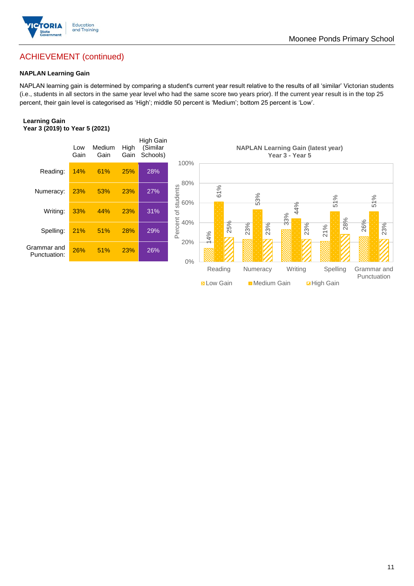![](_page_10_Picture_0.jpeg)

## ACHIEVEMENT (continued)

#### **NAPLAN Learning Gain**

NAPLAN learning gain is determined by comparing a student's current year result relative to the results of all 'similar' Victorian students (i.e., students in all sectors in the same year level who had the same score two years prior). If the current year result is in the top 25 percent, their gain level is categorised as 'High'; middle 50 percent is 'Medium'; bottom 25 percent is 'Low'.

#### **Learning Gain Year 3 (2019) to Year 5 (2021)**

![](_page_10_Figure_5.jpeg)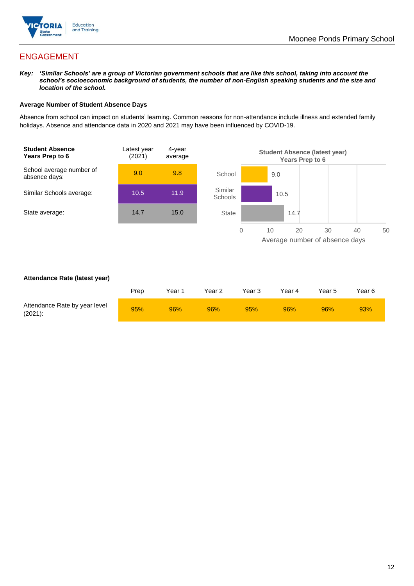![](_page_11_Picture_0.jpeg)

## ENGAGEMENT

*Key: 'Similar Schools' are a group of Victorian government schools that are like this school, taking into account the school's socioeconomic background of students, the number of non-English speaking students and the size and location of the school.*

#### **Average Number of Student Absence Days**

Absence from school can impact on students' learning. Common reasons for non-attendance include illness and extended family holidays. Absence and attendance data in 2020 and 2021 may have been influenced by COVID-19.

![](_page_11_Figure_6.jpeg)

#### **Attendance Rate (latest year)**

|                                             | Prep | Year 1 | Year 2 | Year 3 | Year 4 | Year 5 | Year 6 |
|---------------------------------------------|------|--------|--------|--------|--------|--------|--------|
| Attendance Rate by year level<br>$(2021)$ : | 95%  | 96%    | 96%    | 95%    | 96%    | 96%    | 93%    |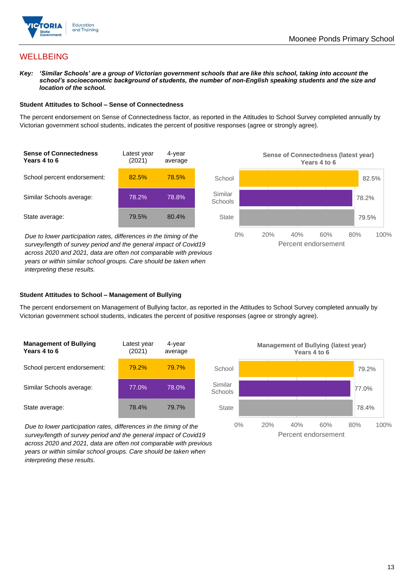![](_page_12_Picture_0.jpeg)

## **WELLBEING**

*Key: 'Similar Schools' are a group of Victorian government schools that are like this school, taking into account the school's socioeconomic background of students, the number of non-English speaking students and the size and location of the school.*

#### **Student Attitudes to School – Sense of Connectedness**

The percent endorsement on Sense of Connectedness factor, as reported in the Attitudes to School Survey completed annually by Victorian government school students, indicates the percent of positive responses (agree or strongly agree).

![](_page_12_Figure_6.jpeg)

*Due to lower participation rates, differences in the timing of the survey/length of survey period and the general impact of Covid19 across 2020 and 2021, data are often not comparable with previous years or within similar school groups. Care should be taken when interpreting these results.*

![](_page_12_Figure_8.jpeg)

#### **Student Attitudes to School – Management of Bullying**

The percent endorsement on Management of Bullying factor, as reported in the Attitudes to School Survey completed annually by Victorian government school students, indicates the percent of positive responses (agree or strongly agree).

| <b>Management of Bullying</b><br>Years 4 to 6 | Latest year<br>(2021) | 4-year<br>average |  |
|-----------------------------------------------|-----------------------|-------------------|--|
| School percent endorsement:                   | 79.2%                 | 79.7%             |  |
| Similar Schools average:                      | 77.0%                 | 78.0%             |  |
| State average:                                | 78.4%                 | 79.7%             |  |

*Due to lower participation rates, differences in the timing of the survey/length of survey period and the general impact of Covid19 across 2020 and 2021, data are often not comparable with previous years or within similar school groups. Care should be taken when interpreting these results.*

![](_page_12_Figure_13.jpeg)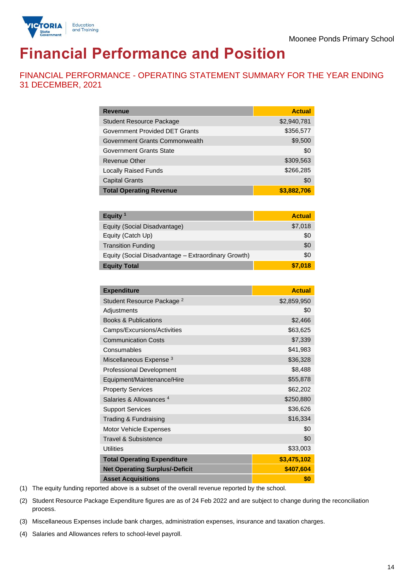![](_page_13_Picture_1.jpeg)

# **Financial Performance and Position**

FINANCIAL PERFORMANCE - OPERATING STATEMENT SUMMARY FOR THE YEAR ENDING 31 DECEMBER, 2021

| <b>Revenue</b>                  | <b>Actual</b> |
|---------------------------------|---------------|
| <b>Student Resource Package</b> | \$2,940,781   |
| Government Provided DET Grants  | \$356,577     |
| Government Grants Commonwealth  | \$9,500       |
| <b>Government Grants State</b>  | \$0           |
| <b>Revenue Other</b>            | \$309,563     |
| <b>Locally Raised Funds</b>     | \$266,285     |
| <b>Capital Grants</b>           | \$0           |
| <b>Total Operating Revenue</b>  | \$3,882,706   |

| Equity <sup>1</sup>                                 | <b>Actual</b> |
|-----------------------------------------------------|---------------|
| Equity (Social Disadvantage)                        | \$7,018       |
| Equity (Catch Up)                                   | \$0           |
| <b>Transition Funding</b>                           | \$0           |
| Equity (Social Disadvantage - Extraordinary Growth) | \$0           |
| <b>Equity Total</b>                                 | \$7,018       |

| <b>Expenditure</b>                    | <b>Actual</b> |
|---------------------------------------|---------------|
| Student Resource Package <sup>2</sup> | \$2,859,950   |
| Adjustments                           | \$0           |
| <b>Books &amp; Publications</b>       | \$2,466       |
| Camps/Excursions/Activities           | \$63,625      |
| <b>Communication Costs</b>            | \$7,339       |
| Consumables                           | \$41,983      |
| Miscellaneous Expense <sup>3</sup>    | \$36,328      |
| <b>Professional Development</b>       | \$8,488       |
| Equipment/Maintenance/Hire            | \$55,878      |
| <b>Property Services</b>              | \$62,202      |
| Salaries & Allowances <sup>4</sup>    | \$250,880     |
| <b>Support Services</b>               | \$36,626      |
| Trading & Fundraising                 | \$16,334      |
| Motor Vehicle Expenses                | \$0           |
| Travel & Subsistence                  | \$0           |
| <b>Utilities</b>                      | \$33,003      |
| <b>Total Operating Expenditure</b>    | \$3,475,102   |
| <b>Net Operating Surplus/-Deficit</b> | \$407,604     |
| <b>Asset Acquisitions</b>             | \$0           |

(1) The equity funding reported above is a subset of the overall revenue reported by the school.

(2) Student Resource Package Expenditure figures are as of 24 Feb 2022 and are subject to change during the reconciliation process.

(3) Miscellaneous Expenses include bank charges, administration expenses, insurance and taxation charges.

(4) Salaries and Allowances refers to school-level payroll.